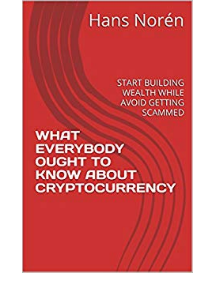## Hans Norén

**START BUILDING WEALTH WHILE AVOID GETTING SCAMMED** 

**WHAT EVERYBODY OUGHT TO KNOW ABOUT CRYPTOCURRENCY**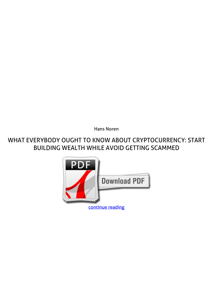*Hans Noren*

## **WHAT EVERYBODY OUGHT TO KNOW ABOUT CRYPTOCURRENCY: START BUILDING WEALTH WHILE AVOID GETTING SCAMMED**

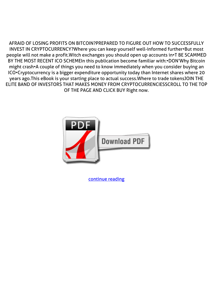AFRAID OF LOSING PROFITS ON BITCOIN?PREPARED TO FIGURE OUT HOW TO SUCCESSFULLY INVEST IN CRYPTOCURRENCY?Where you can keep yourself well-informed further•But most people will not make a profit.Witch exchanges you should open up accounts in•T BE SCAMMED BY THE MOST RECENT ICO SCHEMEIn this publication become familiar with:•DON'Why Bitcoin might crash•A couple of things you need to know immediately when you consider buying an ICO•Cryptocurrency is a bigger expenditure opportunity today than Internet shares where 20 years ago.This eBook is your starting place to actual success.Where to trade tokensJOIN THE ELITE BAND OF INVESTORS THAT MAKES MONEY FROM CRYPTOCURRENCIESSCROLL TO THE TOP OF THE PAGE AND CLICK BUY Right now.



[continue reading](http://bit.ly/2Tge8Fv)